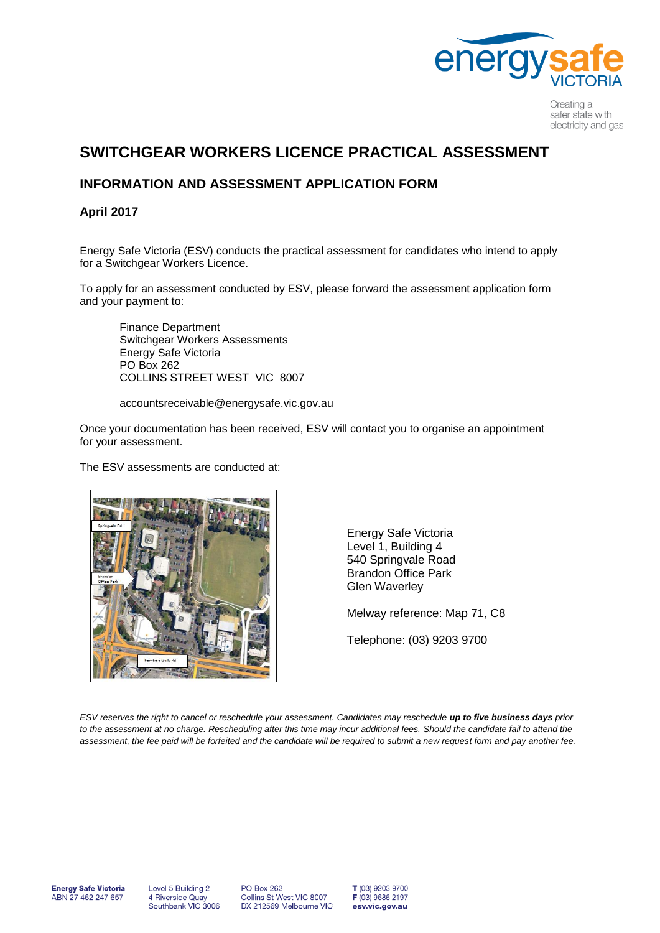

Creating a safer state with electricity and gas

## **SWITCHGEAR WORKERS LICENCE PRACTICAL ASSESSMENT**

### **INFORMATION AND ASSESSMENT APPLICATION FORM**

### **April 2017**

Energy Safe Victoria (ESV) conducts the practical assessment for candidates who intend to apply for a Switchgear Workers Licence.

To apply for an assessment conducted by ESV, please forward the assessment application form and your payment to:

Finance Department Switchgear Workers Assessments Energy Safe Victoria PO Box 262 COLLINS STREET WEST VIC 8007

accountsreceivable@energysafe.vic.gov.au

Once your documentation has been received, ESV will contact you to organise an appointment for your assessment.

The ESV assessments are conducted at:



Energy Safe Victoria Level 1, Building 4 540 Springvale Road Brandon Office Park Glen Waverley

Melway reference: Map 71, C8

Telephone: (03) 9203 9700

*ESV reserves the right to cancel or reschedule your assessment. Candidates may reschedule up to five business days prior to the assessment at no charge. Rescheduling after this time may incur additional fees. Should the candidate fail to attend the assessment, the fee paid will be forfeited and the candidate will be required to submit a new request form and pay another fee.*

Level 5 Building 2 4 Riverside Quay<br>Southbank VIC 3006 **PO Box 262** Collins St West VIC 8007 DX 212569 Melbourne VIC

T (03) 9203 9700 F (03) 9686 2197 esv.vic.gov.au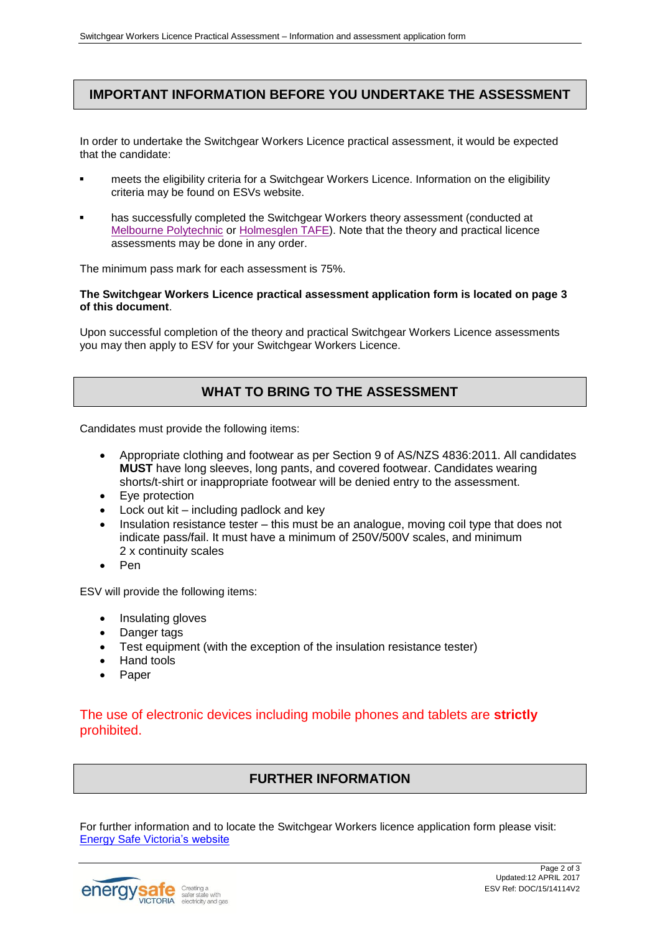### **IMPORTANT INFORMATION BEFORE YOU UNDERTAKE THE ASSESSMENT**

In order to undertake the Switchgear Workers Licence practical assessment, it would be expected that the candidate:

- meets the eligibility criteria for a Switchgear Workers Licence. Information on the eligibility criteria may be found on ESVs website.
- has successfully completed the Switchgear Workers theory assessment (conducted at [Melbourne Polytechnic](http://www.melbournepolytechnic.edu.au/) or [Holmesglen TAFE\)](http://www.holmesglen.edu.au/). Note that the theory and practical licence assessments may be done in any order.

The minimum pass mark for each assessment is 75%.

#### **The Switchgear Workers Licence practical assessment application form is located on page 3 of this document**.

Upon successful completion of the theory and practical Switchgear Workers Licence assessments you may then apply to ESV for your Switchgear Workers Licence.

### **WHAT TO BRING TO THE ASSESSMENT**

Candidates must provide the following items:

- Appropriate clothing and footwear as per Section 9 of AS/NZS 4836:2011. All candidates **MUST** have long sleeves, long pants, and covered footwear. Candidates wearing shorts/t-shirt or inappropriate footwear will be denied entry to the assessment.
- Eye protection
- Lock out kit including padlock and key
- Insulation resistance tester this must be an analogue, moving coil type that does not indicate pass/fail. It must have a minimum of 250V/500V scales, and minimum 2 x continuity scales
- Pen

ESV will provide the following items:

- Insulating gloves
- Danger tags
- Test equipment (with the exception of the insulation resistance tester)
- Hand tools
- Paper

### The use of electronic devices including mobile phones and tablets are **strictly** prohibited.

### **FURTHER INFORMATION**

For further information and to locate the Switchgear Workers licence application form please visit: [Energy Safe Victoria'](http://www.esv.vic.gov.au/)s website